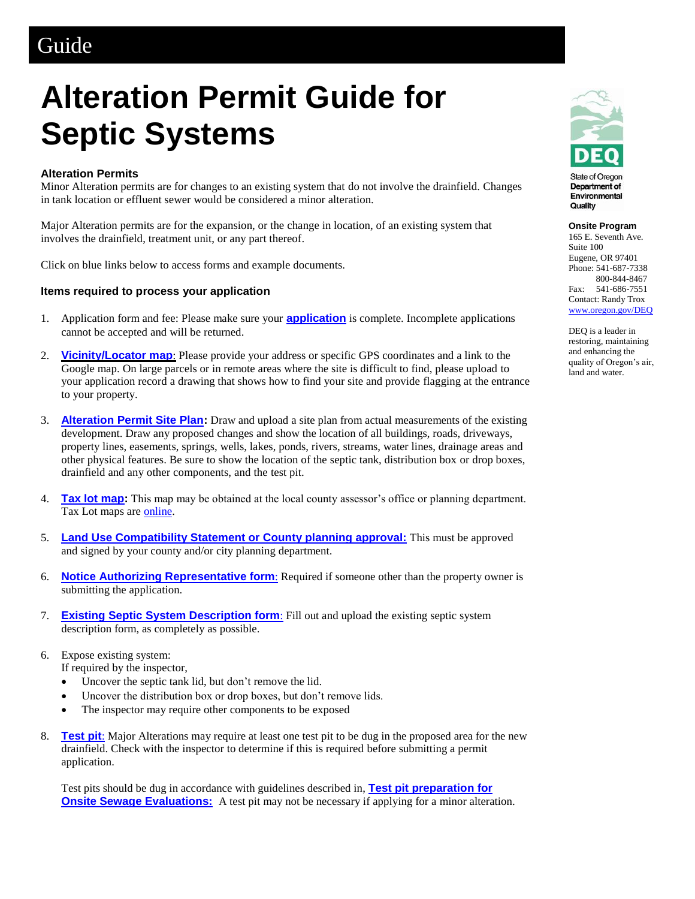## Guide

# **Alteration Permit Guide for Septic Systems**

#### **Alteration Permits**

Minor Alteration permits are for changes to an existing system that do not involve the drainfield. Changes in tank location or effluent sewer would be considered a minor alteration.

Major Alteration permits are for the expansion, or the change in location, of an existing system that involves the drainfield, treatment unit, or any part thereof.

Click on blue links below to access forms and example documents.

#### **Items required to process your application**

- 1. Application form and fee: Please make sure your **[application](https://aca.oregon.accela.com/oregon/)** is complete. Incomplete applications cannot be accepted and will be returned.
- 2. **[Vicinity/Locator map](http://www.ormap.net/)**: Please provide your address or specific GPS coordinates and a link to the Google map. On large parcels or in remote areas where the site is difficult to find, please upload to your application record a drawing that shows how to find your site and provide flagging at the entrance to your property.
- 3. **[Alteration Permit Site Plan:](http://www.oregon.gov/deq/FilterDocs/os-altpermitplan.pdf)** Draw and upload a site plan from actual measurements of the existing development. Draw any proposed changes and show the location of all buildings, roads, driveways, property lines, easements, springs, wells, lakes, ponds, rivers, streams, water lines, drainage areas and other physical features. Be sure to show the location of the septic tank, distribution box or drop boxes, drainfield and any other components, and the test pit.
- 4. **[Tax lot map:](http://www.ormap.net/)** This map may be obtained at the local county assessor's office or planning department. Tax Lot maps are **online**.
- 5. **[Land Use Compatibility Statement or County planning approval:](http://www.oregon.gov/deq/FilterDocs/onsitelucs.pdf)** This must be approved and signed by your county and/or city planning department.
- 6. **[Notice Authorizing Representative form](http://www.oregon.gov/deq/FilterDocs/os-AuthRep.pdf)**: Required if someone other than the property owner is submitting the application.
- 7. **[Existing Septic System Description form](http://www.oregon.gov/deq/FilterDocs/os-existingsysdesc.pdf)**: Fill out and upload the existing septic system description form, as completely as possible.
- 6. Expose existing system:
	- If required by the inspector,
	- Uncover the septic tank lid, but don't remove the lid.
	- Uncover the distribution box or drop boxes, but don't remove lids.
	- The inspector may require other components to be exposed
- 8. **[Test pit](http://www.oregon.gov/deq/FilterDocs/os-testpitprep.pdf)**: Major Alterations may require at least one test pit to be dug in the proposed area for the new drainfield. Check with the inspector to determine if this is required before submitting a permit application.

Test pits should be dug in accordance with guidelines described in, **[Test pit preparation for](https://www.oregon.gov/deq/FilterDocs/os-testpitprep.pdf)  [Onsite Sewage Evaluations:](https://www.oregon.gov/deq/FilterDocs/os-testpitprep.pdf)** A test pit may not be necessary if applying for a minor alteration.



State of Oregon Department of Environmental Quality

#### **Onsite Program**

165 E. Seventh Ave. Suite 100 Eugene, OR 97401 Phone: 541-687-7338 800-844-8467 Fax: 541-686-7551 Contact: Randy Trox [www.oregon.gov/DEQ](http://www.oregon.gov/DEQ)

DEQ is a leader in restoring, maintaining and enhancing the quality of Oregon's air, land and water.